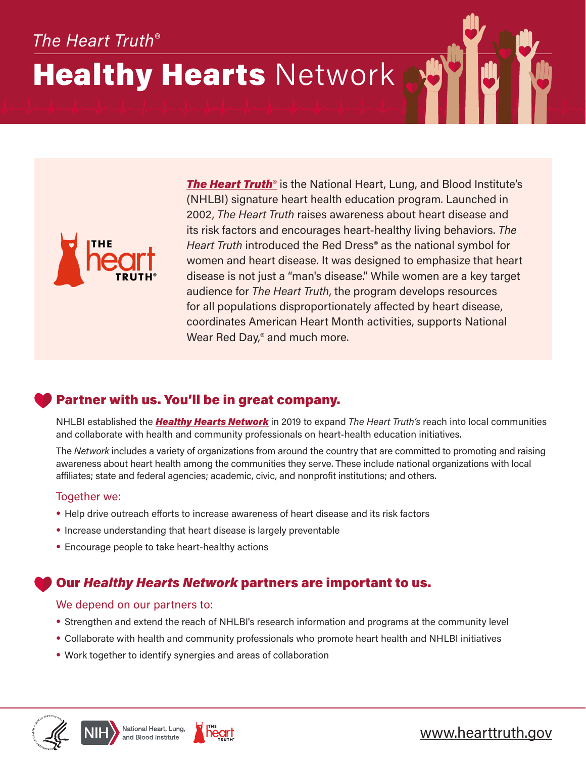# *The Heart Truth*®

# **Healthy Hearts Network**



**[The Heart Truth](https://www.nhlbi.nih.gov/health-topics/education-and-awareness/heart-truth)**<sup>®</sup> is the National Heart, Lung, and Blood Institute's (NHLBI) signature heart health education program. Launched in 2002, *The Heart Truth* raises awareness about heart disease and its risk factors and encourages heart-healthy living behaviors. *The Heart Truth* introduced the Red Dress® as the national symbol for women and heart disease. It was designed to emphasize that heart disease is not just a "man's disease." While women are a key target audience for *The Heart Truth*, the program develops resources for all populations disproportionately affected by heart disease, coordinates American Heart Month activities, supports National Wear Red Day,<sup>®</sup> and much more.

## Partner with us. You'll be in great company.

NHLBI established the *[Healthy Hearts Network](https://www.nhlbi.nih.gov/health-topics/education-and-awareness/heart-truth/healthy-hearts-network)* in 2019 to expand *The Heart Truth's* reach into local communities and collaborate with health and community professionals on heart-health education initiatives.

The *Network* includes a variety of organizations from around the country that are committed to promoting and raising awareness about heart health among the communities they serve. These include national organizations with local affiliates; state and federal agencies; academic, civic, and nonprofit institutions; and others.

### Together we:

- **•** Help drive outreach efforts to increase awareness of heart disease and its risk factors
- **•** Increase understanding that heart disease is largely preventable
- **•** Encourage people to take heart-healthy actions

### Our *Healthy Hearts Network* partners are important to us.

### We depend on our partners to:

- **•** Strengthen and extend the reach of NHLBI's research information and programs at the community level
- **•** Collaborate with health and community professionals who promote heart health and NHLBI initiatives
- **•** Work together to identify synergies and areas of collaboration







## [www.hearttruth.gov](https://www.hearttruth.gov)